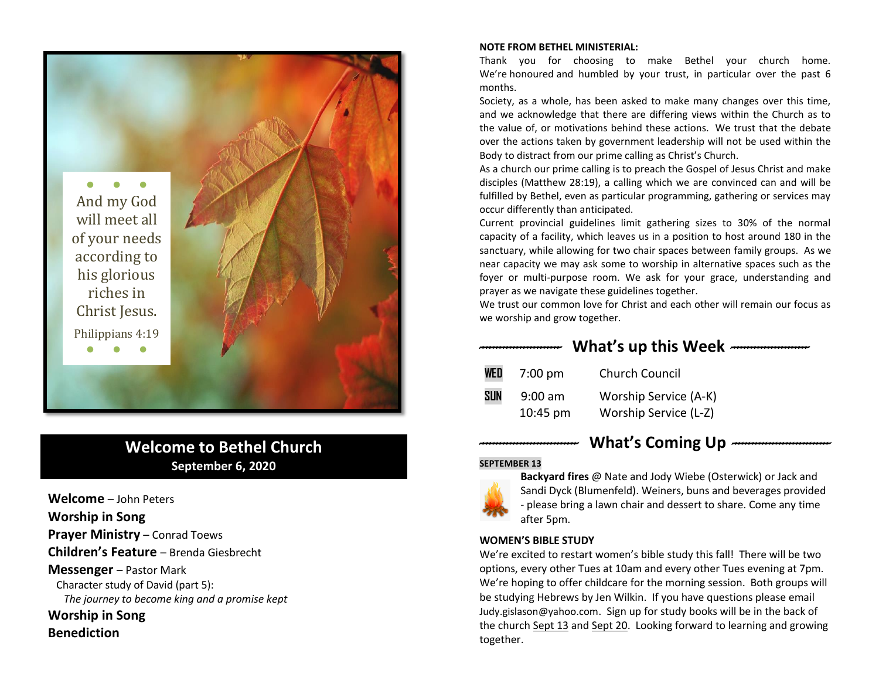

# **Welcome to Bethel Church September 6, 2020**

**Welcome** – John Peters **Worship in Song Prayer Ministry** – Conrad Toews **Children's Feature** – Brenda Giesbrecht **Messenger** – Pastor Mark Character study of David (part 5): *The journey to become king and a promise kept* **Worship in Song** 

# **Benediction**

#### **NOTE FROM BETHEL MINISTERIAL:**

Thank you for choosing to make Bethel your church home. We're honoured and humbled by your trust, in particular over the past 6 months.

Society, as a whole, has been asked to make many changes over this time, and we acknowledge that there are differing views within the Church as to the value of, or motivations behind these actions. We trust that the debate over the actions taken by government leadership will not be used within the Body to distract from our prime calling as Christ's Church.

As a church our prime calling is to preach the Gospel of Jesus Christ and make disciples (Matthew 28:19), a calling which we are convinced can and will be fulfilled by Bethel, even as particular programming, gathering or services may occur differently than anticipated.

Current provincial guidelines limit gathering sizes to 30% of the normal capacity of a facility, which leaves us in a position to host around 180 in the sanctuary, while allowing for two chair spaces between family groups. As we near capacity we may ask some to worship in alternative spaces such as the foyer or multi-purpose room. We ask for your grace, understanding and prayer as we navigate these guidelines together.

We trust our common love for Christ and each other will remain our focus as we worship and grow together.

*------------------------* **What's up this Week** *-----------------------* 

| WED        | $7:00 \text{ pm}$  | <b>Church Council</b> |
|------------|--------------------|-----------------------|
| <b>SUN</b> | $9:00$ am          | Worship Service (A-K) |
|            | $10:45 \text{ pm}$ | Worship Service (L-Z) |

# *-----------------------------* **What's Coming Up** *-----------------------------*

#### **SEPTEMBER 13**



**Backyard fires** @ Nate and Jody Wiebe (Osterwick) or Jack and Sandi Dyck (Blumenfeld). Weiners, buns and beverages provided - please bring a lawn chair and dessert to share. Come any time after 5pm.

#### **WOMEN'S BIBLE STUDY**

We're excited to restart women's bible study this fall! There will be two options, every other Tues at 10am and every other Tues evening at 7pm. We're hoping to offer childcare for the morning session. Both groups will be studying Hebrews by Jen Wilkin. If you have questions please email [Judy.gislason@yahoo.com](mailto:Judy.gislason@yahoo.com). Sign up for study books will be in the back of the church Sept 13 and Sept 20. Looking forward to learning and growing together.